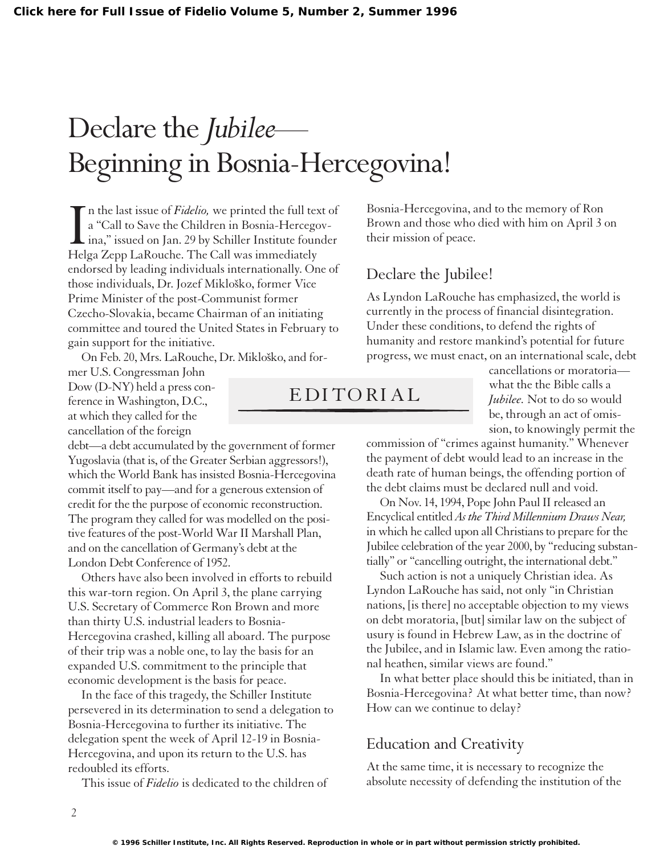## Declare the *Jubilee*— Beginning in Bosnia-Hercegovina!

In the last issue of *Fidelio*, we printed the full te:<br>a "Call to Save the Children in Bosnia-Hercege<br>ina," issued on Jan. 29 by Schiller Institute four<br>Helga Zepp LaRouche. The Call was immediately n the last issue of *Fidelio,* we printed the full text of a "Call to Save the Children in Bosnia-Hercegovina," issued on Jan. 29 by Schiller Institute founder endorsed by leading individuals internationally. One of those individuals, Dr. Jozef Mikloško, former Vice Prime Minister of the post-Communist former Czecho-Slovakia, became Chairman of an initiating committee and toured the United States in February to gain support for the initiative.

On Feb. 20, Mrs. LaRouche, Dr. Mikloško, and former U.S. Congressman John

Dow (D-NY) held a press conference in Washington, D.C., at which they called for the cancellation of the foreign

debt—a debt accumulated by the government of former Yugoslavia (that is, of the Greater Serbian aggressors!), which the World Bank has insisted Bosnia-Hercegovina commit itself to pay—and for a generous extension of credit for the the purpose of economic reconstruction. The program they called for was modelled on the positive features of the post-World War II Marshall Plan, and on the cancellation of Germany's debt at the London Debt Conference of 1952.

Others have also been involved in efforts to rebuild this war-torn region. On April 3, the plane carrying U.S. Secretary of Commerce Ron Brown and more than thirty U.S. industrial leaders to Bosnia-Hercegovina crashed, killing all aboard. The purpose of their trip was a noble one, to lay the basis for an expanded U.S. commitment to the principle that economic development is the basis for peace.

In the face of this tragedy, the Schiller Institute persevered in its determination to send a delegation to Bosnia-Hercegovina to further its initiative. The delegation spent the week of April 12-19 in Bosnia-Hercegovina, and upon its return to the U.S. has redoubled its efforts.

This issue of *Fidelio* is dedicated to the children of

Declare the Jubilee!

their mission of peace.

EDITORIAL

Bosnia-Hercegovina, and to the memory of Ron Brown and those who died with him on April 3 on

As Lyndon LaRouche has emphasized, the world is currently in the process of financial disintegration. Under these conditions, to defend the rights of humanity and restore mankind's potential for future progress, we must enact, on an international scale, debt

> cancellations or moratoria what the the Bible calls a *Jubilee.* Not to do so would be, through an act of omission, to knowingly permit the

commission of "crimes against humanity." Whenever the payment of debt would lead to an increase in the death rate of human beings, the offending portion of the debt claims must be declared null and void.

On Nov. 14, 1994, Pope John Paul II released an Encyclical entitled *As the Third Millennium Draws Near,* in which he called upon all Christians to prepare for the Jubilee celebration of the year 2000, by "reducing substantially" or "cancelling outright, the international debt."

Such action is not a uniquely Christian idea. As Lyndon LaRouche has said, not only "in Christian nations, [is there] no acceptable objection to my views on debt moratoria, [but] similar law on the subject of usury is found in Hebrew Law, as in the doctrine of the Jubilee, and in Islamic law. Even among the rational heathen, similar views are found."

In what better place should this be initiated, than in Bosnia-Hercegovina? At what better time, than now? How can we continue to delay?

## Education and Creativity

At the same time, it is necessary to recognize the absolute necessity of defending the institution of the